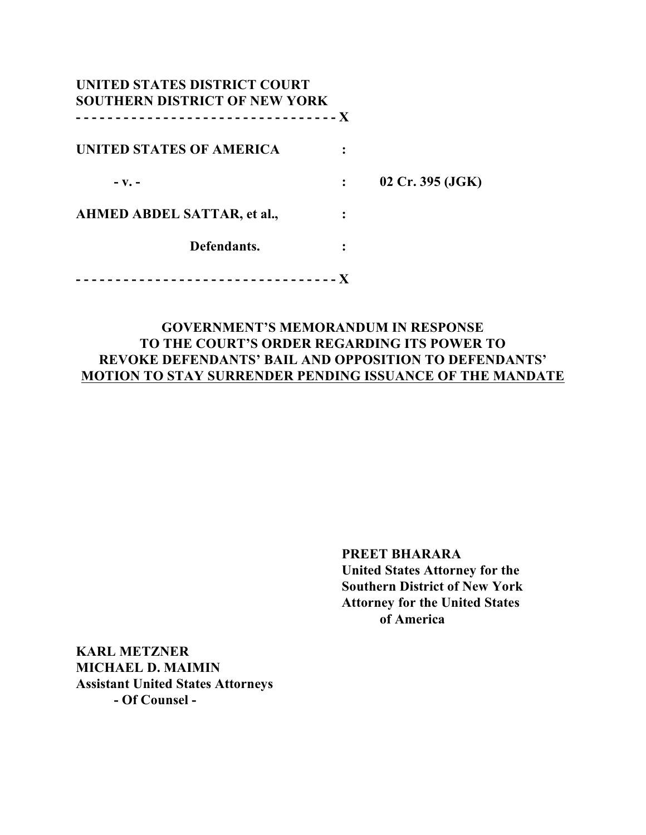| UNITED STATES DISTRICT COURT<br><b>SOUTHERN DISTRICT OF NEW YORK</b> |                  |
|----------------------------------------------------------------------|------------------|
| UNITED STATES OF AMERICA                                             |                  |
| $-$ V. $-$                                                           | 02 Cr. 395 (JGK) |
| AHMED ABDEL SATTAR, et al.,                                          |                  |
| Defendants.                                                          |                  |
|                                                                      |                  |

## **GOVERNMENT'S MEMORANDUM IN RESPONSE TO THE COURT'S ORDER REGARDING ITS POWER TO REVOKE DEFENDANTS' BAIL AND OPPOSITION TO DEFENDANTS' MOTION TO STAY SURRENDER PENDING ISSUANCE OF THE MANDATE**

**PREET BHARARA United States Attorney for the Southern District of New York Attorney for the United States of America**

**KARL METZNER MICHAEL D. MAIMIN Assistant United States Attorneys - Of Counsel -**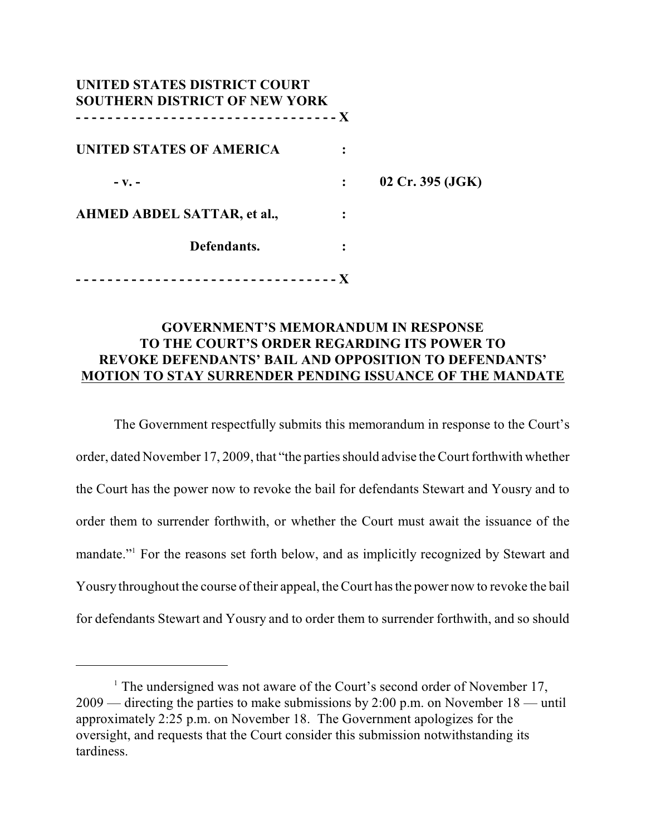| UNITED STATES DISTRICT COURT<br><b>SOUTHERN DISTRICT OF NEW YORK</b> |                  |
|----------------------------------------------------------------------|------------------|
| UNITED STATES OF AMERICA                                             |                  |
| $-$ V. $-$                                                           | 02 Cr. 395 (JGK) |
| AHMED ABDEL SATTAR, et al.,                                          |                  |
| Defendants.                                                          |                  |
|                                                                      |                  |

### **GOVERNMENT'S MEMORANDUM IN RESPONSE TO THE COURT'S ORDER REGARDING ITS POWER TO REVOKE DEFENDANTS' BAIL AND OPPOSITION TO DEFENDANTS' MOTION TO STAY SURRENDER PENDING ISSUANCE OF THE MANDATE**

The Government respectfully submits this memorandum in response to the Court's order, dated November 17, 2009, that "the parties should advise the Court forthwith whether the Court has the power now to revoke the bail for defendants Stewart and Yousry and to order them to surrender forthwith, or whether the Court must await the issuance of the mandate."<sup>1</sup> For the reasons set forth below, and as implicitly recognized by Stewart and Yousry throughout the course of their appeal, the Court has the power now to revoke the bail for defendants Stewart and Yousry and to order them to surrender forthwith, and so should

<sup>&</sup>lt;sup>1</sup> The undersigned was not aware of the Court's second order of November 17, 2009 — directing the parties to make submissions by 2:00 p.m. on November 18 — until approximately 2:25 p.m. on November 18. The Government apologizes for the oversight, and requests that the Court consider this submission notwithstanding its tardiness.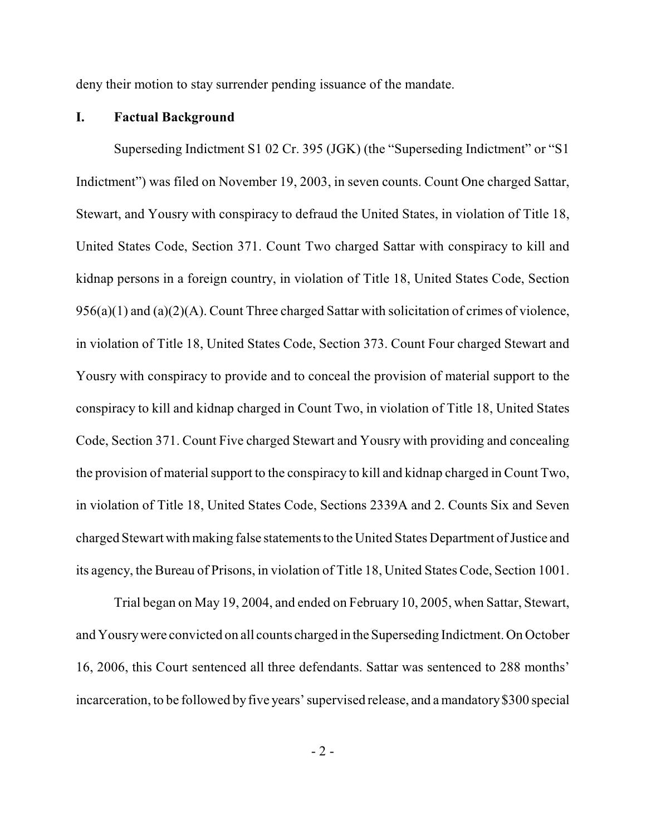deny their motion to stay surrender pending issuance of the mandate.

#### **I. Factual Background**

Superseding Indictment S1 02 Cr. 395 (JGK) (the "Superseding Indictment" or "S1 Indictment") was filed on November 19, 2003, in seven counts. Count One charged Sattar, Stewart, and Yousry with conspiracy to defraud the United States, in violation of Title 18, United States Code, Section 371. Count Two charged Sattar with conspiracy to kill and kidnap persons in a foreign country, in violation of Title 18, United States Code, Section 956(a)(1) and (a)(2)(A). Count Three charged Sattar with solicitation of crimes of violence, in violation of Title 18, United States Code, Section 373. Count Four charged Stewart and Yousry with conspiracy to provide and to conceal the provision of material support to the conspiracy to kill and kidnap charged in Count Two, in violation of Title 18, United States Code, Section 371. Count Five charged Stewart and Yousry with providing and concealing the provision of material support to the conspiracy to kill and kidnap charged in Count Two, in violation of Title 18, United States Code, Sections 2339A and 2. Counts Six and Seven charged Stewart with making false statements to the United States Department of Justice and its agency, the Bureau of Prisons, in violation of Title 18, United StatesCode, Section 1001.

Trial began on May 19, 2004, and ended on February 10, 2005, when Sattar, Stewart, and Yousry were convicted on all counts charged in the Superseding Indictment. On October 16, 2006, this Court sentenced all three defendants. Sattar was sentenced to 288 months' incarceration, to be followed by five years' supervised release, and a mandatory \$300 special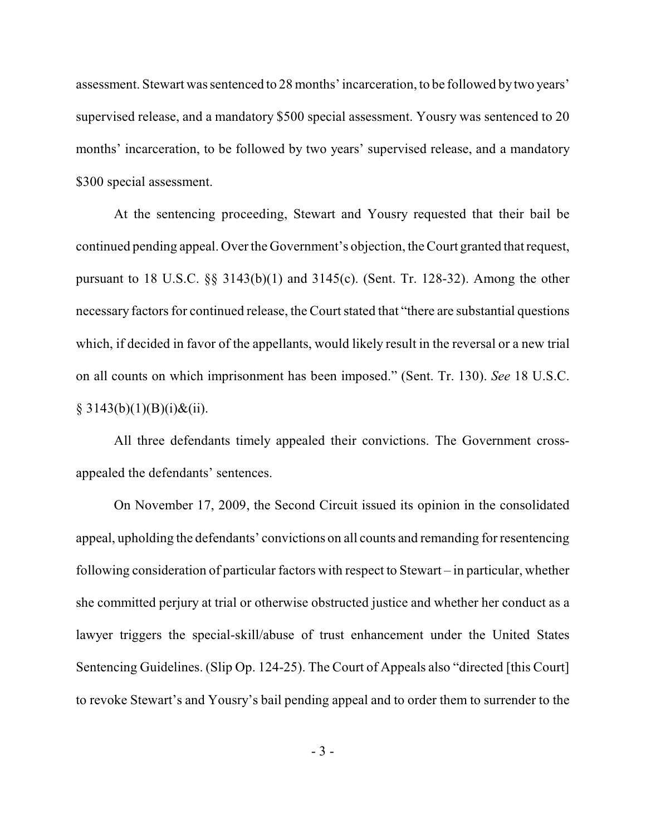assessment. Stewart was sentenced to 28 months' incarceration, to be followed by two years' supervised release, and a mandatory \$500 special assessment. Yousry was sentenced to 20 months' incarceration, to be followed by two years' supervised release, and a mandatory \$300 special assessment.

At the sentencing proceeding, Stewart and Yousry requested that their bail be continued pending appeal. Over the Government's objection, the Court granted that request, pursuant to 18 U.S.C. §§ 3143(b)(1) and 3145(c). (Sent. Tr. 128-32). Among the other necessary factors for continued release, the Court stated that "there are substantial questions which, if decided in favor of the appellants, would likely result in the reversal or a new trial on all counts on which imprisonment has been imposed." (Sent. Tr. 130). *See* 18 U.S.C.  $§ 3143(b)(1)(B)(i) \& (ii).$ 

All three defendants timely appealed their convictions. The Government crossappealed the defendants' sentences.

On November 17, 2009, the Second Circuit issued its opinion in the consolidated appeal, upholding the defendants' convictions on all counts and remanding for resentencing following consideration of particular factors with respect to Stewart – in particular, whether she committed perjury at trial or otherwise obstructed justice and whether her conduct as a lawyer triggers the special-skill/abuse of trust enhancement under the United States Sentencing Guidelines. (Slip Op. 124-25). The Court of Appeals also "directed [this Court] to revoke Stewart's and Yousry's bail pending appeal and to order them to surrender to the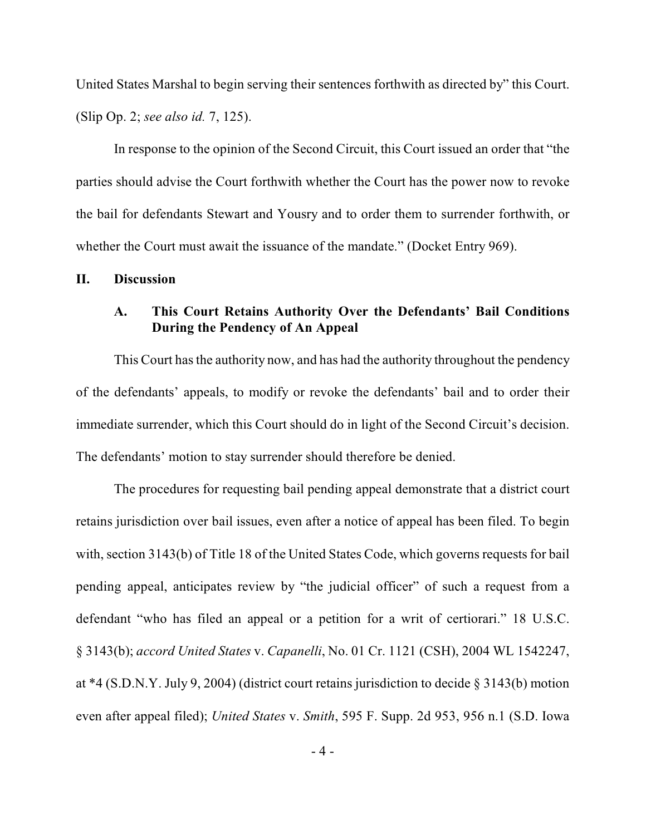United States Marshal to begin serving their sentences forthwith as directed by" this Court. (Slip Op. 2; *see also id.* 7, 125).

In response to the opinion of the Second Circuit, this Court issued an order that "the parties should advise the Court forthwith whether the Court has the power now to revoke the bail for defendants Stewart and Yousry and to order them to surrender forthwith, or whether the Court must await the issuance of the mandate." (Docket Entry 969).

### **II. Discussion**

### **A. This Court Retains Authority Over the Defendants' Bail Conditions During the Pendency of An Appeal**

This Court has the authority now, and has had the authority throughout the pendency of the defendants' appeals, to modify or revoke the defendants' bail and to order their immediate surrender, which this Court should do in light of the Second Circuit's decision. The defendants' motion to stay surrender should therefore be denied.

The procedures for requesting bail pending appeal demonstrate that a district court retains jurisdiction over bail issues, even after a notice of appeal has been filed. To begin with, section 3143(b) of Title 18 of the United States Code, which governs requests for bail pending appeal, anticipates review by "the judicial officer" of such a request from a defendant "who has filed an appeal or a petition for a writ of certiorari." 18 U.S.C. § 3143(b); *accord United States* v. *Capanelli*, No. 01 Cr. 1121 (CSH), 2004 WL 1542247, at \*4 (S.D.N.Y. July 9, 2004) (district court retains jurisdiction to decide § 3143(b) motion even after appeal filed); *United States* v. *Smith*, 595 F. Supp. 2d 953, 956 n.1 (S.D. Iowa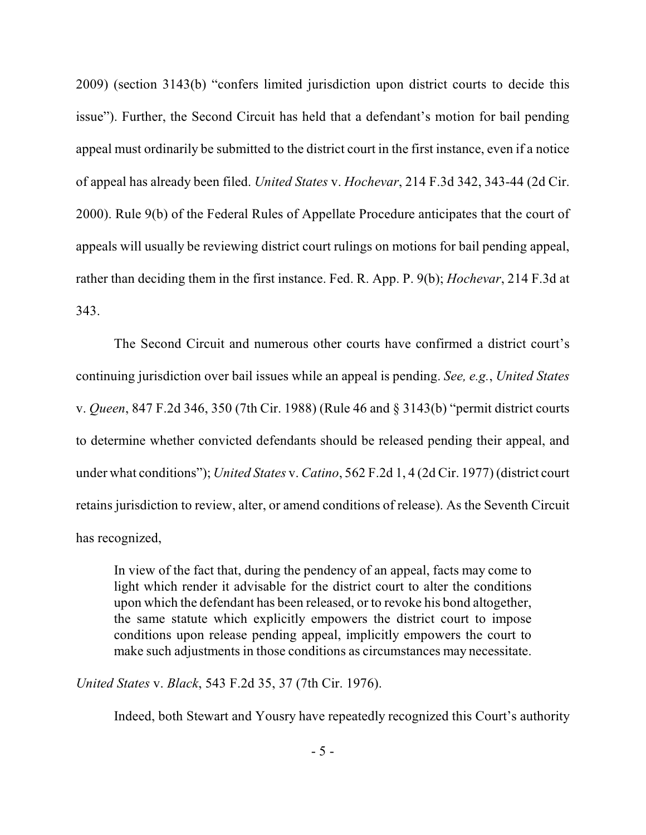2009) (section 3143(b) "confers limited jurisdiction upon district courts to decide this issue"). Further, the Second Circuit has held that a defendant's motion for bail pending appeal must ordinarily be submitted to the district court in the first instance, even if a notice of appeal has already been filed. *United States* v. *Hochevar*, 214 F.3d 342, 343-44 (2d Cir. 2000). Rule 9(b) of the Federal Rules of Appellate Procedure anticipates that the court of appeals will usually be reviewing district court rulings on motions for bail pending appeal, rather than deciding them in the first instance. Fed. R. App. P. 9(b); *Hochevar*, 214 F.3d at 343.

The Second Circuit and numerous other courts have confirmed a district court's continuing jurisdiction over bail issues while an appeal is pending. *See, e.g.*, *United States* v. *Queen*, 847 F.2d 346, 350 (7th Cir. 1988) (Rule 46 and § 3143(b) "permit district courts to determine whether convicted defendants should be released pending their appeal, and under what conditions"); *United States* v. *Catino*, 562 F.2d 1, 4 (2d Cir. 1977) (district court retains jurisdiction to review, alter, or amend conditions of release). As the Seventh Circuit has recognized,

In view of the fact that, during the pendency of an appeal, facts may come to light which render it advisable for the district court to alter the conditions upon which the defendant has been released, or to revoke his bond altogether, the same statute which explicitly empowers the district court to impose conditions upon release pending appeal, implicitly empowers the court to make such adjustments in those conditions as circumstances may necessitate.

*United States* v. *Black*, 543 F.2d 35, 37 (7th Cir. 1976).

Indeed, both Stewart and Yousry have repeatedly recognized this Court's authority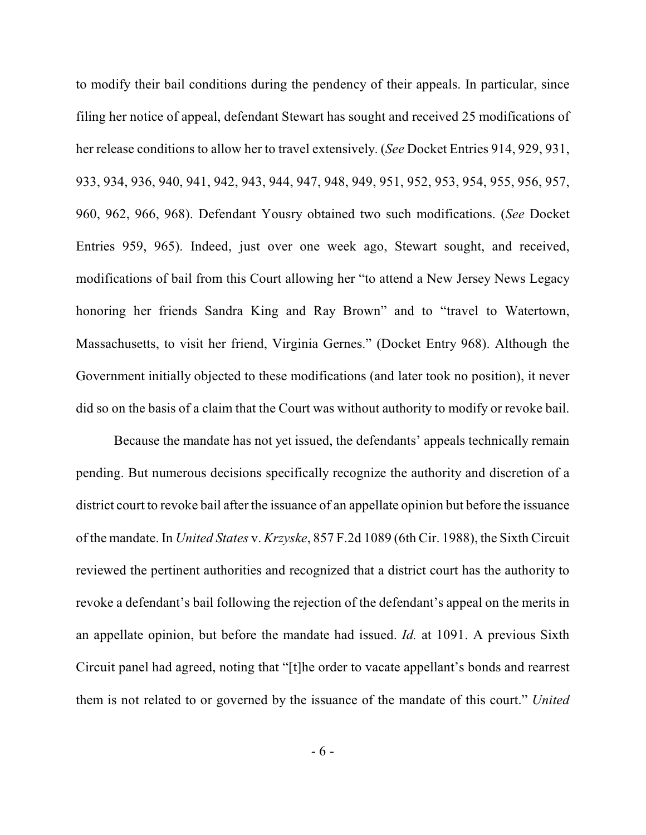to modify their bail conditions during the pendency of their appeals. In particular, since filing her notice of appeal, defendant Stewart has sought and received 25 modifications of her release conditions to allow her to travel extensively. (*See* Docket Entries 914, 929, 931, 933, 934, 936, 940, 941, 942, 943, 944, 947, 948, 949, 951, 952, 953, 954, 955, 956, 957, 960, 962, 966, 968). Defendant Yousry obtained two such modifications. (*See* Docket Entries 959, 965). Indeed, just over one week ago, Stewart sought, and received, modifications of bail from this Court allowing her "to attend a New Jersey News Legacy honoring her friends Sandra King and Ray Brown" and to "travel to Watertown, Massachusetts, to visit her friend, Virginia Gernes." (Docket Entry 968). Although the Government initially objected to these modifications (and later took no position), it never did so on the basis of a claim that the Court was without authority to modify or revoke bail.

Because the mandate has not yet issued, the defendants' appeals technically remain pending. But numerous decisions specifically recognize the authority and discretion of a district court to revoke bail after the issuance of an appellate opinion but before the issuance of the mandate. In *United States* v. *Krzyske*, 857 F.2d 1089 (6th Cir. 1988), the Sixth Circuit reviewed the pertinent authorities and recognized that a district court has the authority to revoke a defendant's bail following the rejection of the defendant's appeal on the merits in an appellate opinion, but before the mandate had issued. *Id.* at 1091. A previous Sixth Circuit panel had agreed, noting that "[t]he order to vacate appellant's bonds and rearrest them is not related to or governed by the issuance of the mandate of this court." *United*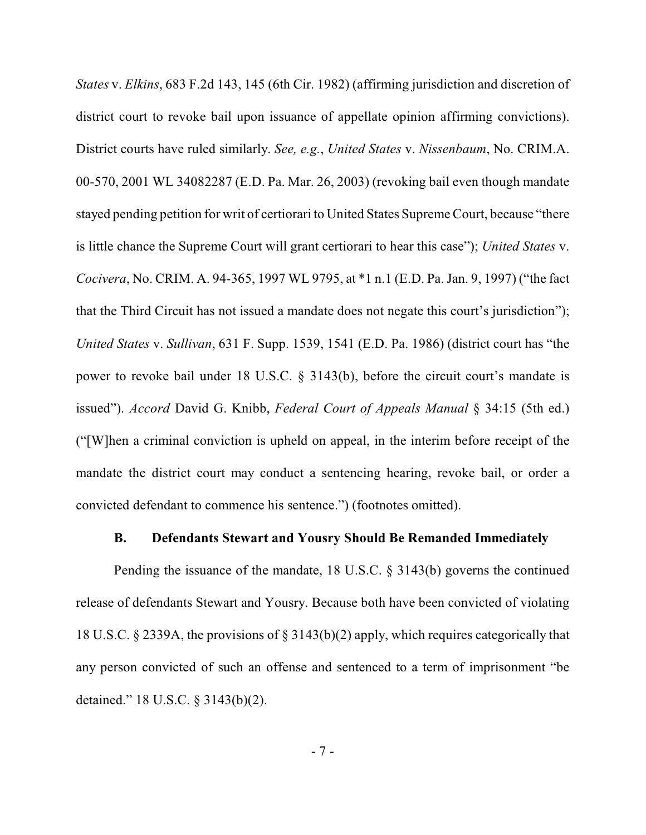*States* v. *Elkins*, 683 F.2d 143, 145 (6th Cir. 1982) (affirming jurisdiction and discretion of district court to revoke bail upon issuance of appellate opinion affirming convictions). District courts have ruled similarly. *See, e.g.*, *United States* v. *Nissenbaum*, No. CRIM.A. 00-570, 2001 WL 34082287 (E.D. Pa. Mar. 26, 2003) (revoking bail even though mandate stayed pending petition for writ of certiorari to United States Supreme Court, because "there is little chance the Supreme Court will grant certiorari to hear this case"); *United States* v. *Cocivera*, No. CRIM. A. 94-365, 1997 WL 9795, at \*1 n.1 (E.D. Pa. Jan. 9, 1997) ("the fact that the Third Circuit has not issued a mandate does not negate this court's jurisdiction"); *United States* v. *Sullivan*, 631 F. Supp. 1539, 1541 (E.D. Pa. 1986) (district court has "the power to revoke bail under 18 U.S.C. § 3143(b), before the circuit court's mandate is issued"). *Accord* David G. Knibb, *Federal Court of Appeals Manual* § 34:15 (5th ed.) ("[W]hen a criminal conviction is upheld on appeal, in the interim before receipt of the mandate the district court may conduct a sentencing hearing, revoke bail, or order a convicted defendant to commence his sentence.") (footnotes omitted).

#### **B. Defendants Stewart and Yousry Should Be Remanded Immediately**

Pending the issuance of the mandate, 18 U.S.C. § 3143(b) governs the continued release of defendants Stewart and Yousry. Because both have been convicted of violating 18 U.S.C. § 2339A, the provisions of § 3143(b)(2) apply, which requires categorically that any person convicted of such an offense and sentenced to a term of imprisonment "be detained." 18 U.S.C. § 3143(b)(2).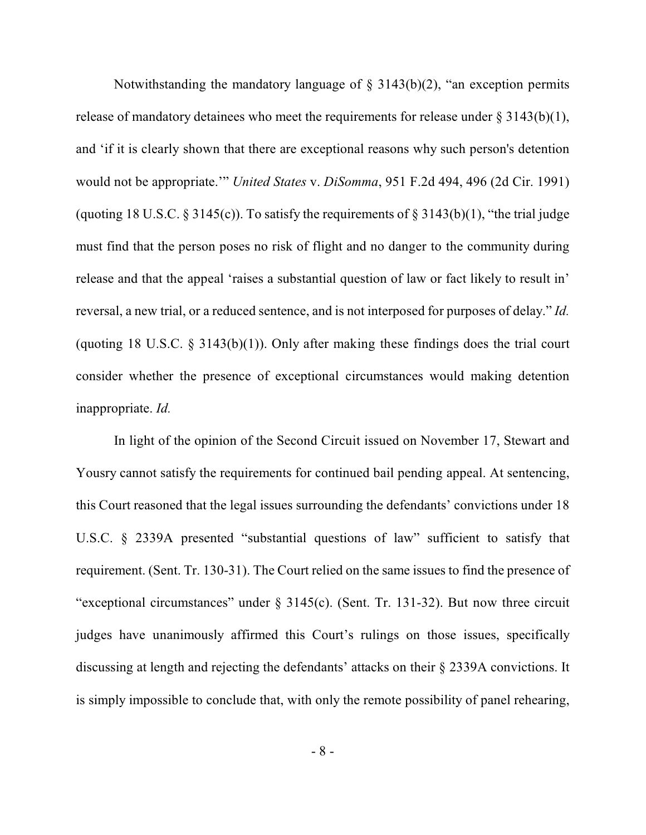Notwithstanding the mandatory language of  $\S$  3143(b)(2), "an exception permits release of mandatory detainees who meet the requirements for release under  $\S 3143(b)(1)$ , and 'if it is clearly shown that there are exceptional reasons why such person's detention would not be appropriate.'" *United States* v. *DiSomma*, 951 F.2d 494, 496 (2d Cir. 1991) (quoting 18 U.S.C.  $\S 3145(c)$ ). To satisfy the requirements of  $\S 3143(b)(1)$ , "the trial judge must find that the person poses no risk of flight and no danger to the community during release and that the appeal 'raises a substantial question of law or fact likely to result in' reversal, a new trial, or a reduced sentence, and is not interposed for purposes of delay." *Id.* (quoting 18 U.S.C.  $\S$  3143(b)(1)). Only after making these findings does the trial court consider whether the presence of exceptional circumstances would making detention inappropriate. *Id.*

In light of the opinion of the Second Circuit issued on November 17, Stewart and Yousry cannot satisfy the requirements for continued bail pending appeal. At sentencing, this Court reasoned that the legal issues surrounding the defendants' convictions under 18 U.S.C. § 2339A presented "substantial questions of law" sufficient to satisfy that requirement. (Sent. Tr. 130-31). The Court relied on the same issues to find the presence of "exceptional circumstances" under § 3145(c). (Sent. Tr. 131-32). But now three circuit judges have unanimously affirmed this Court's rulings on those issues, specifically discussing at length and rejecting the defendants' attacks on their § 2339A convictions. It is simply impossible to conclude that, with only the remote possibility of panel rehearing,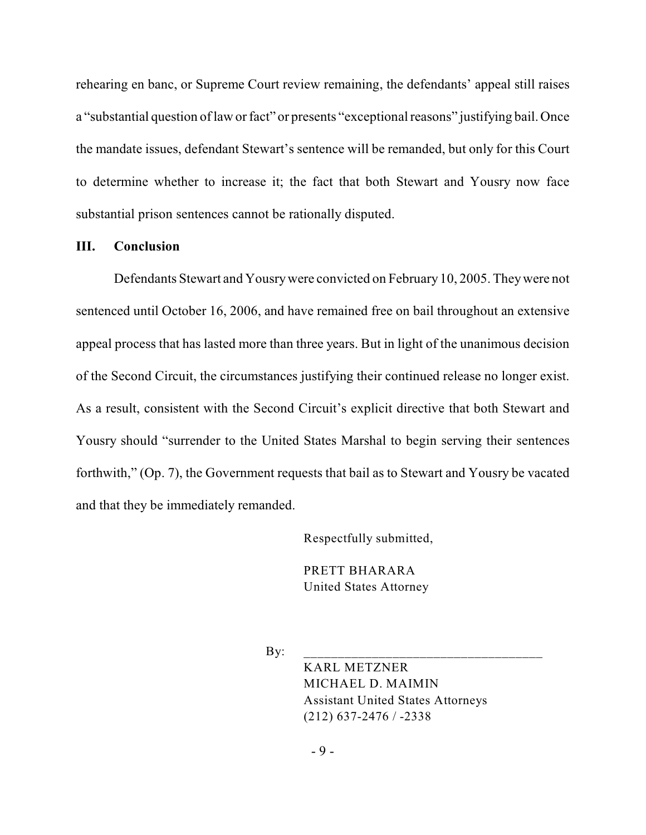rehearing en banc, or Supreme Court review remaining, the defendants' appeal still raises a "substantial question of law or fact" or presents "exceptional reasons" justifying bail. Once the mandate issues, defendant Stewart's sentence will be remanded, but only for this Court to determine whether to increase it; the fact that both Stewart and Yousry now face substantial prison sentences cannot be rationally disputed.

#### **III. Conclusion**

Defendants Stewart and Yousry were convicted on February 10, 2005. They were not sentenced until October 16, 2006, and have remained free on bail throughout an extensive appeal process that has lasted more than three years. But in light of the unanimous decision of the Second Circuit, the circumstances justifying their continued release no longer exist. As a result, consistent with the Second Circuit's explicit directive that both Stewart and Yousry should "surrender to the United States Marshal to begin serving their sentences forthwith," (Op. 7), the Government requests that bail as to Stewart and Yousry be vacated and that they be immediately remanded.

Respectfully submitted,

PRETT BHARARA United States Attorney

By: \_\_\_\_\_\_\_\_\_\_\_\_\_\_\_\_\_\_\_\_\_\_\_\_\_\_\_\_\_\_\_\_\_\_\_

KARL METZNER MICHAEL D. MAIMIN Assistant United States Attorneys (212) 637-2476 / -2338

- 9 -